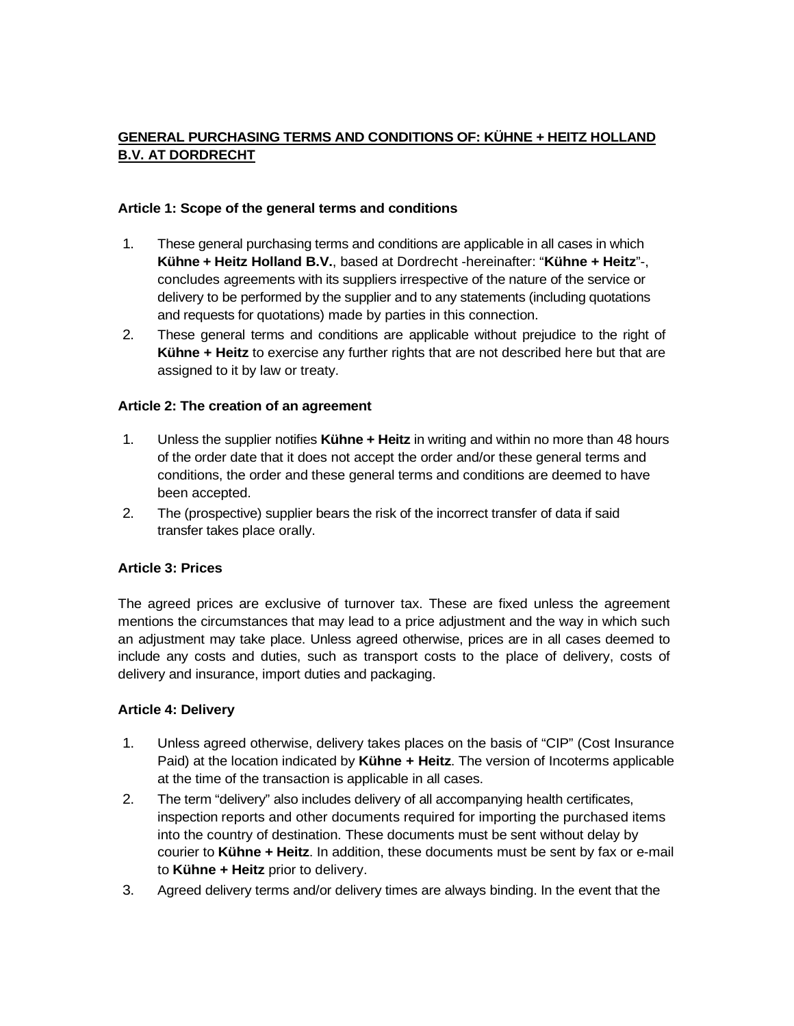# **GENERAL PURCHASING TERMS AND CONDITIONS OF: KÜHNE + HEITZ HOLLAND B.V. AT DORDRECHT**

### **Article 1: Scope of the general terms and conditions**

- 1. These general purchasing terms and conditions are applicable in all cases in which **Kühne + Heitz Holland B.V.**, based at Dordrecht -hereinafter: "**Kühne + Heitz**"-, concludes agreements with its suppliers irrespective of the nature of the service or delivery to be performed by the supplier and to any statements (including quotations and requests for quotations) made by parties in this connection.
- 2. These general terms and conditions are applicable without prejudice to the right of **Kühne + Heitz** to exercise any further rights that are not described here but that are assigned to it by law or treaty.

## **Article 2: The creation of an agreement**

- 1. Unless the supplier notifies **Kühne + Heitz** in writing and within no more than 48 hours of the order date that it does not accept the order and/or these general terms and conditions, the order and these general terms and conditions are deemed to have been accepted.
- 2. The (prospective) supplier bears the risk of the incorrect transfer of data if said transfer takes place orally.

## **Article 3: Prices**

The agreed prices are exclusive of turnover tax. These are fixed unless the agreement mentions the circumstances that may lead to a price adjustment and the way in which such an adjustment may take place. Unless agreed otherwise, prices are in all cases deemed to include any costs and duties, such as transport costs to the place of delivery, costs of delivery and insurance, import duties and packaging.

## **Article 4: Delivery**

- 1. Unless agreed otherwise, delivery takes places on the basis of "CIP" (Cost Insurance Paid) at the location indicated by **Kühne + Heitz**. The version of Incoterms applicable at the time of the transaction is applicable in all cases.
- 2. The term "delivery" also includes delivery of all accompanying health certificates, inspection reports and other documents required for importing the purchased items into the country of destination. These documents must be sent without delay by courier to **Kühne + Heitz**. In addition, these documents must be sent by fax or e-mail to **Kühne + Heitz** prior to delivery.
- 3. Agreed delivery terms and/or delivery times are always binding. In the event that the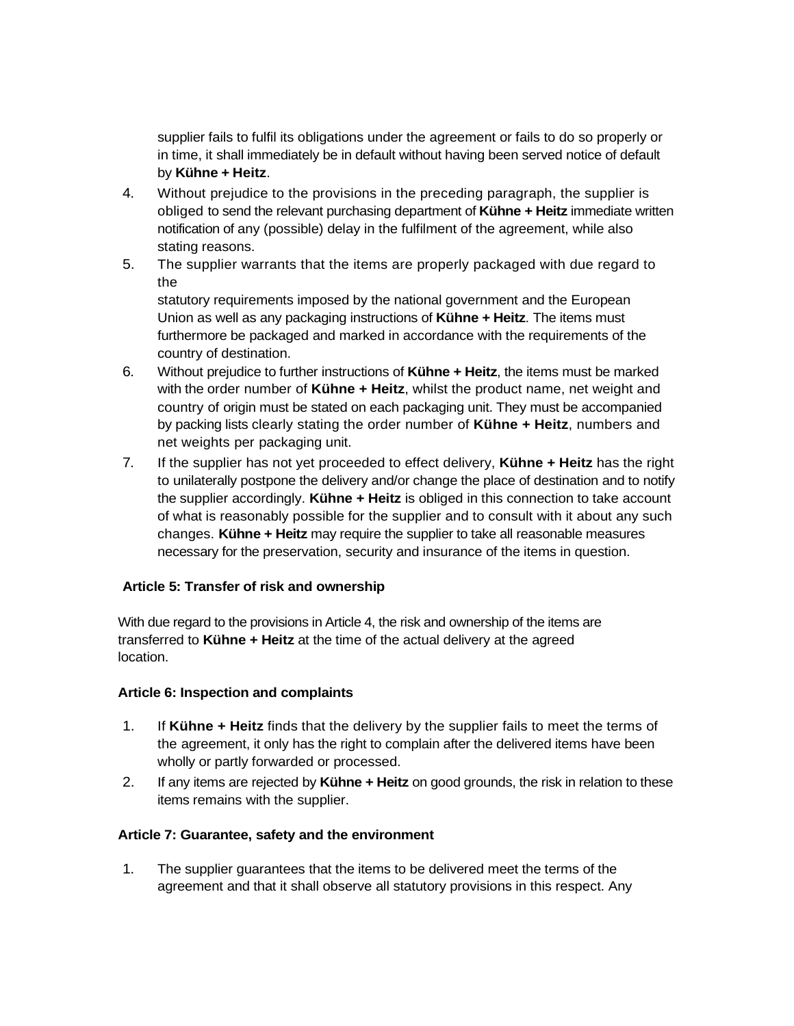supplier fails to fulfil its obligations under the agreement or fails to do so properly or in time, it shall immediately be in default without having been served notice of default by **Kühne + Heitz**.

- 4. Without prejudice to the provisions in the preceding paragraph, the supplier is obliged to send the relevant purchasing department of **Kühne + Heitz** immediate written notification of any (possible) delay in the fulfilment of the agreement, while also stating reasons.
- 5. The supplier warrants that the items are properly packaged with due regard to the

statutory requirements imposed by the national government and the European Union as well as any packaging instructions of **Kühne + Heitz**. The items must furthermore be packaged and marked in accordance with the requirements of the country of destination.

- 6. Without prejudice to further instructions of **Kühne + Heitz**, the items must be marked with the order number of **Kühne + Heitz**, whilst the product name, net weight and country of origin must be stated on each packaging unit. They must be accompanied by packing lists clearly stating the order number of **Kühne + Heitz**, numbers and net weights per packaging unit.
- 7. If the supplier has not yet proceeded to effect delivery, **Kühne + Heitz** has the right to unilaterally postpone the delivery and/or change the place of destination and to notify the supplier accordingly. **Kühne + Heitz** is obliged in this connection to take account of what is reasonably possible for the supplier and to consult with it about any such changes. **Kühne + Heitz** may require the supplier to take all reasonable measures necessary for the preservation, security and insurance of the items in question.

## **Article 5: Transfer of risk and ownership**

With due regard to the provisions in Article 4, the risk and ownership of the items are transferred to **Kühne + Heitz** at the time of the actual delivery at the agreed location.

#### **Article 6: Inspection and complaints**

- 1. If **Kühne + Heitz** finds that the delivery by the supplier fails to meet the terms of the agreement, it only has the right to complain after the delivered items have been wholly or partly forwarded or processed.
- 2. If any items are rejected by **Kühne + Heitz** on good grounds, the risk in relation to these items remains with the supplier.

#### **Article 7: Guarantee, safety and the environment**

1. The supplier guarantees that the items to be delivered meet the terms of the agreement and that it shall observe all statutory provisions in this respect. Any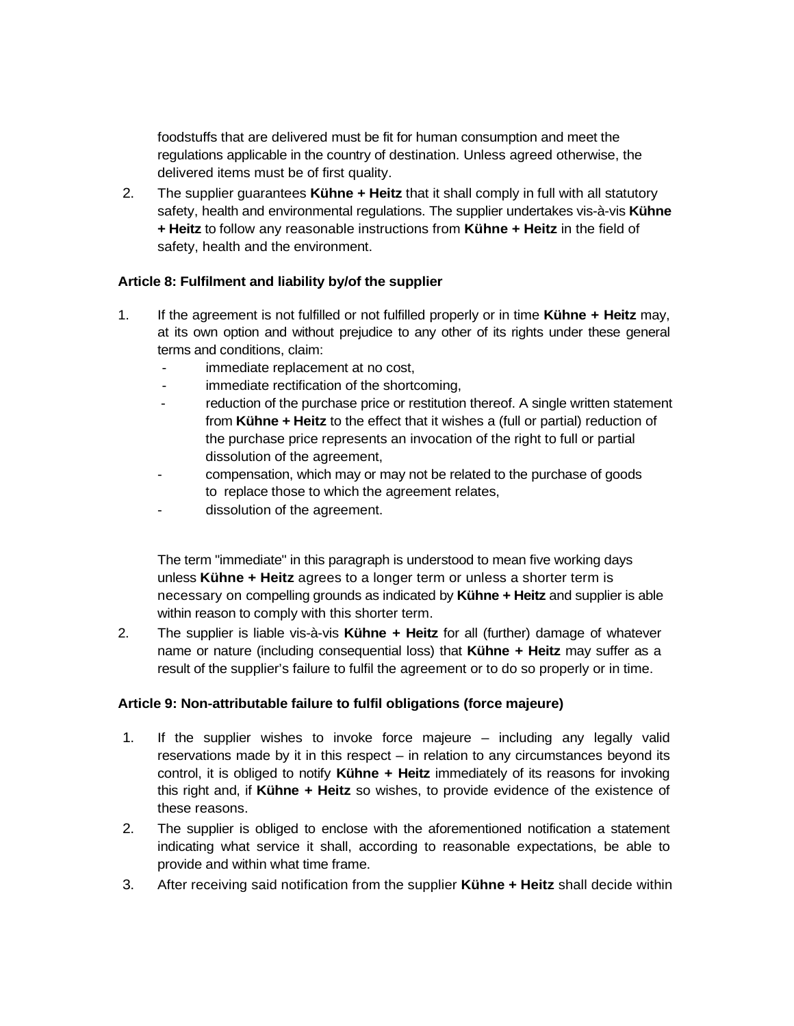foodstuffs that are delivered must be fit for human consumption and meet the regulations applicable in the country of destination. Unless agreed otherwise, the delivered items must be of first quality.

2. The supplier guarantees **Kühne + Heitz** that it shall comply in full with all statutory safety, health and environmental regulations. The supplier undertakes vis-à-vis **Kühne + Heitz** to follow any reasonable instructions from **Kühne + Heitz** in the field of safety, health and the environment.

## **Article 8: Fulfilment and liability by/of the supplier**

- 1. If the agreement is not fulfilled or not fulfilled properly or in time **Kühne + Heitz** may, at its own option and without prejudice to any other of its rights under these general terms and conditions, claim:
	- immediate replacement at no cost,
	- immediate rectification of the shortcoming,
	- reduction of the purchase price or restitution thereof. A single written statement from **Kühne + Heitz** to the effect that it wishes a (full or partial) reduction of the purchase price represents an invocation of the right to full or partial dissolution of the agreement,
	- compensation, which may or may not be related to the purchase of goods to replace those to which the agreement relates,
	- dissolution of the agreement.

The term "immediate" in this paragraph is understood to mean five working days unless **Kühne + Heitz** agrees to a longer term or unless a shorter term is necessary on compelling grounds as indicated by **Kühne + Heitz** and supplier is able within reason to comply with this shorter term.

2. The supplier is liable vis-à-vis **Kühne + Heitz** for all (further) damage of whatever name or nature (including consequential loss) that **Kühne + Heitz** may suffer as a result of the supplier's failure to fulfil the agreement or to do so properly or in time.

#### **Article 9: Non-attributable failure to fulfil obligations (force majeure)**

- 1. If the supplier wishes to invoke force majeure including any legally valid reservations made by it in this respect – in relation to any circumstances beyond its control, it is obliged to notify **Kühne + Heitz** immediately of its reasons for invoking this right and, if **Kühne + Heitz** so wishes, to provide evidence of the existence of these reasons.
- 2. The supplier is obliged to enclose with the aforementioned notification a statement indicating what service it shall, according to reasonable expectations, be able to provide and within what time frame.
- 3. After receiving said notification from the supplier **Kühne + Heitz** shall decide within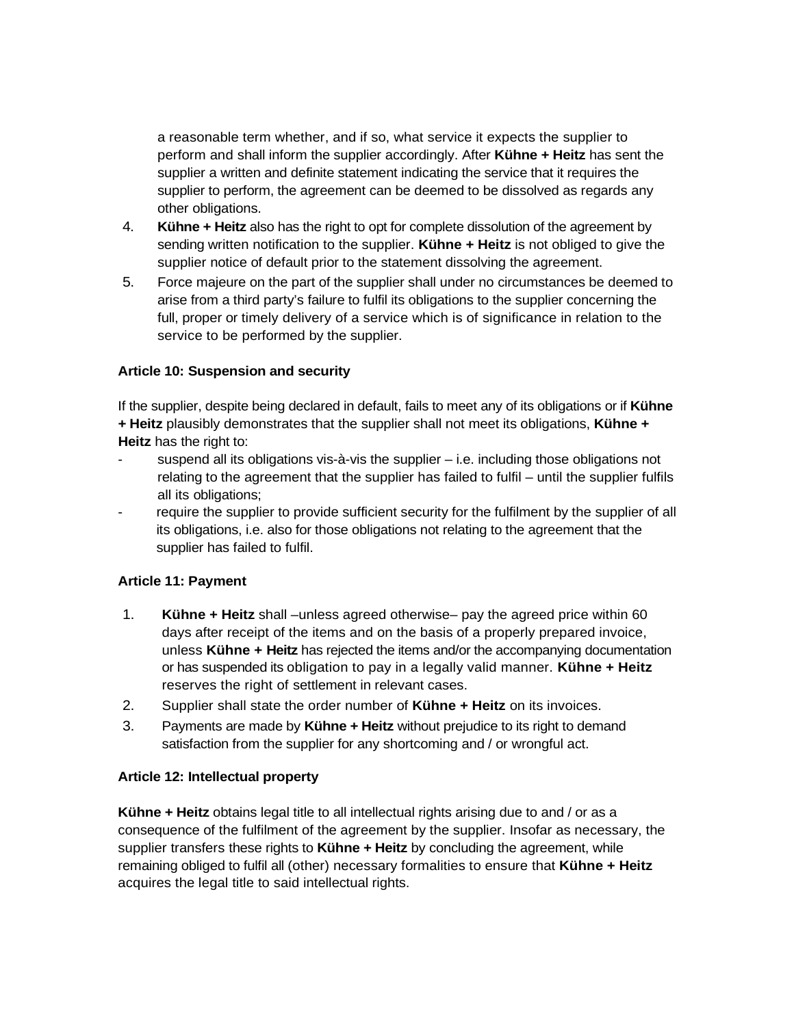a reasonable term whether, and if so, what service it expects the supplier to perform and shall inform the supplier accordingly. After **Kühne + Heitz** has sent the supplier a written and definite statement indicating the service that it requires the supplier to perform, the agreement can be deemed to be dissolved as regards any other obligations.

- 4. **Kühne + Heitz** also has the right to opt for complete dissolution of the agreement by sending written notification to the supplier. **Kühne + Heitz** is not obliged to give the supplier notice of default prior to the statement dissolving the agreement.
- 5. Force majeure on the part of the supplier shall under no circumstances be deemed to arise from a third party's failure to fulfil its obligations to the supplier concerning the full, proper or timely delivery of a service which is of significance in relation to the service to be performed by the supplier.

## **Article 10: Suspension and security**

If the supplier, despite being declared in default, fails to meet any of its obligations or if **Kühne + Heitz** plausibly demonstrates that the supplier shall not meet its obligations, **Kühne + Heitz** has the right to:

- suspend all its obligations vis-à-vis the supplier  $-$  i.e. including those obligations not relating to the agreement that the supplier has failed to fulfil – until the supplier fulfils all its obligations;
- require the supplier to provide sufficient security for the fulfilment by the supplier of all its obligations, i.e. also for those obligations not relating to the agreement that the supplier has failed to fulfil.

## **Article 11: Payment**

- 1. **Kühne + Heitz** shall –unless agreed otherwise– pay the agreed price within 60 days after receipt of the items and on the basis of a properly prepared invoice, unless **Kühne + Heitz** has rejected the items and/or the accompanying documentation or has suspended its obligation to pay in a legally valid manner. **Kühne + Heitz**  reserves the right of settlement in relevant cases.
- 2. Supplier shall state the order number of **Kühne + Heitz** on its invoices.
- 3. Payments are made by **Kühne + Heitz** without prejudice to its right to demand satisfaction from the supplier for any shortcoming and / or wrongful act.

#### **Article 12: Intellectual property**

**Kühne + Heitz** obtains legal title to all intellectual rights arising due to and / or as a consequence of the fulfilment of the agreement by the supplier. Insofar as necessary, the supplier transfers these rights to **Kühne + Heitz** by concluding the agreement, while remaining obliged to fulfil all (other) necessary formalities to ensure that **Kühne + Heitz** acquires the legal title to said intellectual rights.